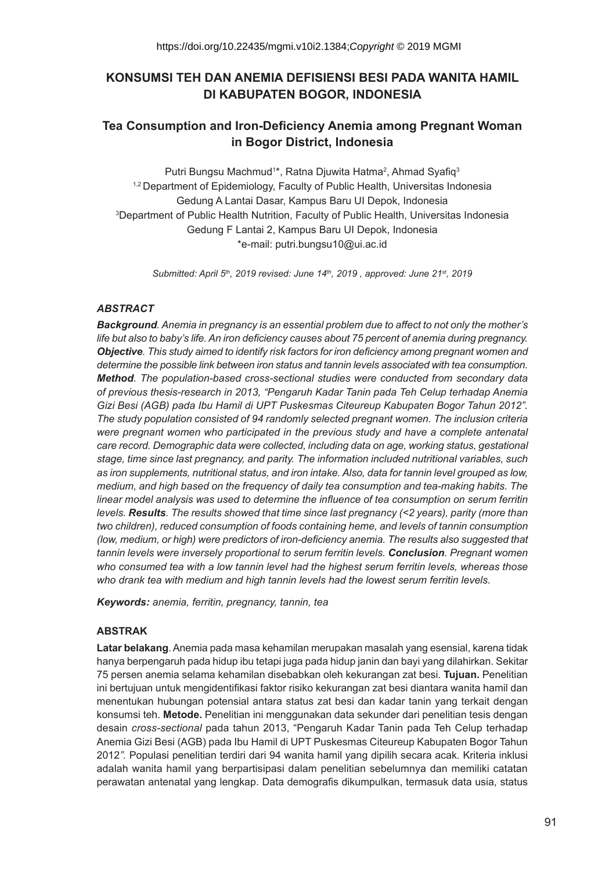# **KONSUMSI TEH DAN ANEMIA DEFISIENSI BESI PADA WANITA HAMIL DI KABUPATEN BOGOR, INDONESIA**

# **Tea Consumption and Iron-Deficiency Anemia among Pregnant Woman in Bogor District, Indonesia**

Putri Bungsu Machmud<sup>1\*</sup>, Ratna Djuwita Hatma<sup>2</sup>, Ahmad Syafiq<sup>3</sup> <sup>1,2</sup> Department of Epidemiology, Faculty of Public Health, Universitas Indonesia Gedung A Lantai Dasar, Kampus Baru UI Depok, Indonesia 3 Department of Public Health Nutrition, Faculty of Public Health, Universitas Indonesia Gedung F Lantai 2, Kampus Baru UI Depok, Indonesia \*e-mail: putri.bungsu10@ui.ac.id

*Submitted: April 5th, 2019 revised: June 14th, 2019 , approved: June 21st, 2019*

# *ABSTRACT*

*Background. Anemia in pregnancy is an essential problem due to affect to not only the mother's life but also to baby's life. An iron deficiency causes about 75 percent of anemia during pregnancy. Objective. This study aimed to identify risk factors for iron deficiency among pregnant women and determine the possible link between iron status and tannin levels associated with tea consumption. Method. The population-based cross-sectional studies were conducted from secondary data of previous thesis-research in 2013, "Pengaruh Kadar Tanin pada Teh Celup terhadap Anemia Gizi Besi (AGB) pada Ibu Hamil di UPT Puskesmas Citeureup Kabupaten Bogor Tahun 2012". The study population consisted of 94 randomly selected pregnant women. The inclusion criteria were pregnant women who participated in the previous study and have a complete antenatal care record. Demographic data were collected, including data on age, working status, gestational stage, time since last pregnancy, and parity. The information included nutritional variables, such as iron supplements, nutritional status, and iron intake. Also, data for tannin level grouped as low, medium, and high based on the frequency of daily tea consumption and tea-making habits. The linear model analysis was used to determine the influence of tea consumption on serum ferritin levels. Results. The results showed that time since last pregnancy (<2 years), parity (more than two children), reduced consumption of foods containing heme, and levels of tannin consumption (low, medium, or high) were predictors of iron-deficiency anemia. The results also suggested that tannin levels were inversely proportional to serum ferritin levels. Conclusion. Pregnant women who consumed tea with a low tannin level had the highest serum ferritin levels, whereas those who drank tea with medium and high tannin levels had the lowest serum ferritin levels.*

*Keywords: anemia, ferritin, pregnancy, tannin, tea*

### **ABSTRAK**

**Latar belakang**. Anemia pada masa kehamilan merupakan masalah yang esensial, karena tidak hanya berpengaruh pada hidup ibu tetapi juga pada hidup janin dan bayi yang dilahirkan. Sekitar 75 persen anemia selama kehamilan disebabkan oleh kekurangan zat besi. **Tujuan.** Penelitian ini bertujuan untuk mengidentifikasi faktor risiko kekurangan zat besi diantara wanita hamil dan menentukan hubungan potensial antara status zat besi dan kadar tanin yang terkait dengan konsumsi teh. **Metode.** Penelitian ini menggunakan data sekunder dari penelitian tesis dengan desain *cross-sectional* pada tahun 2013, "Pengaruh Kadar Tanin pada Teh Celup terhadap Anemia Gizi Besi (AGB) pada Ibu Hamil di UPT Puskesmas Citeureup Kabupaten Bogor Tahun 2012*".* Populasi penelitian terdiri dari 94 wanita hamil yang dipilih secara acak. Kriteria inklusi adalah wanita hamil yang berpartisipasi dalam penelitian sebelumnya dan memiliki catatan perawatan antenatal yang lengkap. Data demografis dikumpulkan, termasuk data usia, status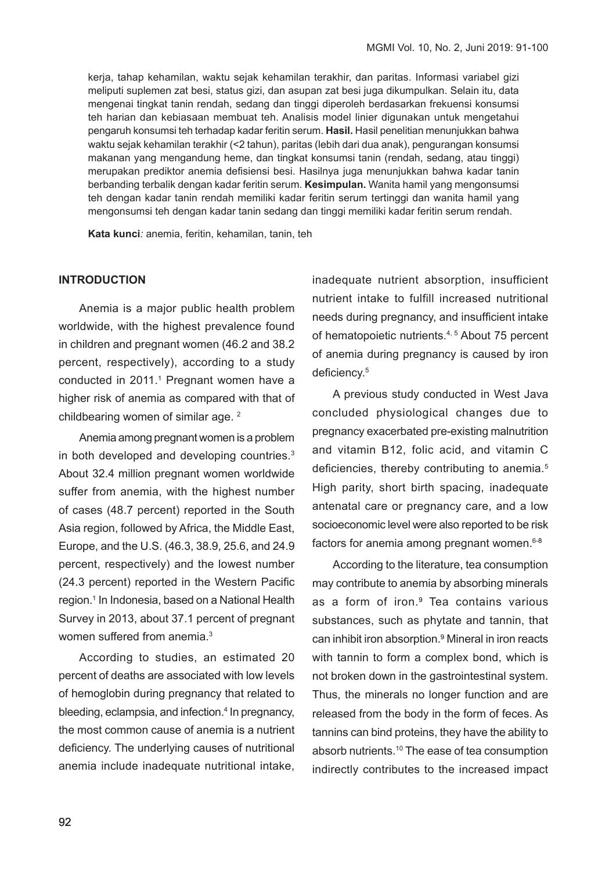kerja, tahap kehamilan, waktu sejak kehamilan terakhir, dan paritas. Informasi variabel gizi meliputi suplemen zat besi, status gizi, dan asupan zat besi juga dikumpulkan. Selain itu, data mengenai tingkat tanin rendah, sedang dan tinggi diperoleh berdasarkan frekuensi konsumsi teh harian dan kebiasaan membuat teh. Analisis model linier digunakan untuk mengetahui pengaruh konsumsi teh terhadap kadar feritin serum. **Hasil.** Hasil penelitian menunjukkan bahwa waktu sejak kehamilan terakhir (<2 tahun), paritas (lebih dari dua anak), pengurangan konsumsi makanan yang mengandung heme, dan tingkat konsumsi tanin (rendah, sedang, atau tinggi) merupakan prediktor anemia defisiensi besi. Hasilnya juga menunjukkan bahwa kadar tanin berbanding terbalik dengan kadar feritin serum. **Kesimpulan.** Wanita hamil yang mengonsumsi teh dengan kadar tanin rendah memiliki kadar feritin serum tertinggi dan wanita hamil yang mengonsumsi teh dengan kadar tanin sedang dan tinggi memiliki kadar feritin serum rendah.

**Kata kunci***:* anemia, feritin, kehamilan, tanin, teh

# **INTRODUCTION**

Anemia is a major public health problem worldwide, with the highest prevalence found in children and pregnant women (46.2 and 38.2 percent, respectively), according to a study conducted in 2011.1 Pregnant women have a higher risk of anemia as compared with that of childbearing women of similar age. 2

Anemia among pregnant women is a problem in both developed and developing countries.3 About 32.4 million pregnant women worldwide suffer from anemia, with the highest number of cases (48.7 percent) reported in the South Asia region, followed by Africa, the Middle East, Europe, and the U.S. (46.3, 38.9, 25.6, and 24.9 percent, respectively) and the lowest number (24.3 percent) reported in the Western Pacific region.1 In Indonesia, based on a National Health Survey in 2013, about 37.1 percent of pregnant women suffered from anemia.<sup>3</sup>

According to studies, an estimated 20 percent of deaths are associated with low levels of hemoglobin during pregnancy that related to bleeding, eclampsia, and infection.<sup>4</sup> In pregnancy, the most common cause of anemia is a nutrient deficiency. The underlying causes of nutritional anemia include inadequate nutritional intake,

inadequate nutrient absorption, insufficient nutrient intake to fulfill increased nutritional needs during pregnancy, and insufficient intake of hematopoietic nutrients.4, 5 About 75 percent of anemia during pregnancy is caused by iron deficiency.<sup>5</sup>

A previous study conducted in West Java concluded physiological changes due to pregnancy exacerbated pre-existing malnutrition and vitamin B12, folic acid, and vitamin C deficiencies, thereby contributing to anemia.<sup>5</sup> High parity, short birth spacing, inadequate antenatal care or pregnancy care, and a low socioeconomic level were also reported to be risk factors for anemia among pregnant women.<sup>6-8</sup>

According to the literature, tea consumption may contribute to anemia by absorbing minerals as a form of iron.<sup>9</sup> Tea contains various substances, such as phytate and tannin, that can inhibit iron absorption.<sup>9</sup> Mineral in iron reacts with tannin to form a complex bond, which is not broken down in the gastrointestinal system. Thus, the minerals no longer function and are released from the body in the form of feces. As tannins can bind proteins, they have the ability to absorb nutrients.10 The ease of tea consumption indirectly contributes to the increased impact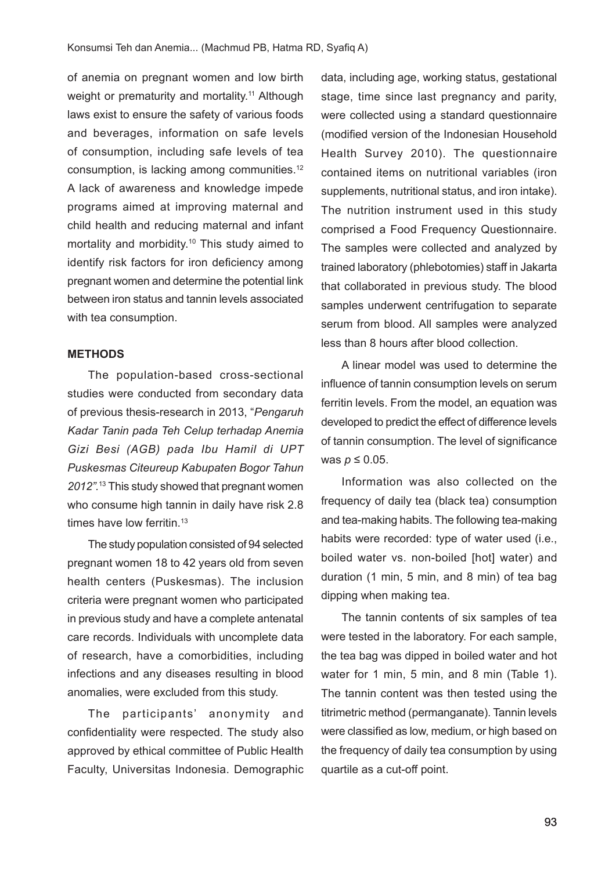of anemia on pregnant women and low birth weight or prematurity and mortality.<sup>11</sup> Although laws exist to ensure the safety of various foods and beverages, information on safe levels of consumption, including safe levels of tea consumption, is lacking among communities.12 A lack of awareness and knowledge impede programs aimed at improving maternal and child health and reducing maternal and infant mortality and morbidity.10 This study aimed to identify risk factors for iron deficiency among pregnant women and determine the potential link between iron status and tannin levels associated with tea consumption.

#### **METHODS**

The population-based cross-sectional studies were conducted from secondary data of previous thesis-research in 2013, "*Pengaruh Kadar Tanin pada Teh Celup terhadap Anemia Gizi Besi (AGB) pada Ibu Hamil di UPT Puskesmas Citeureup Kabupaten Bogor Tahun 2012".*<sup>13</sup> This study showed that pregnant women who consume high tannin in daily have risk 2.8 times have low ferritin.<sup>13</sup>

The study population consisted of 94 selected pregnant women 18 to 42 years old from seven health centers (Puskesmas). The inclusion criteria were pregnant women who participated in previous study and have a complete antenatal care records. Individuals with uncomplete data of research, have a comorbidities, including infections and any diseases resulting in blood anomalies, were excluded from this study.

The participants' anonymity and confidentiality were respected. The study also approved by ethical committee of Public Health Faculty, Universitas Indonesia. Demographic data, including age, working status, gestational stage, time since last pregnancy and parity, were collected using a standard questionnaire (modified version of the Indonesian Household Health Survey 2010). The questionnaire contained items on nutritional variables (iron supplements, nutritional status, and iron intake). The nutrition instrument used in this study comprised a Food Frequency Questionnaire. The samples were collected and analyzed by trained laboratory (phlebotomies) staff in Jakarta that collaborated in previous study. The blood samples underwent centrifugation to separate serum from blood. All samples were analyzed less than 8 hours after blood collection.

A linear model was used to determine the influence of tannin consumption levels on serum ferritin levels. From the model, an equation was developed to predict the effect of difference levels of tannin consumption. The level of significance was *p* ≤ 0.05.

Information was also collected on the frequency of daily tea (black tea) consumption and tea-making habits. The following tea-making habits were recorded: type of water used (i.e., boiled water vs. non-boiled [hot] water) and duration (1 min, 5 min, and 8 min) of tea bag dipping when making tea.

The tannin contents of six samples of tea were tested in the laboratory. For each sample, the tea bag was dipped in boiled water and hot water for 1 min, 5 min, and 8 min (Table 1). The tannin content was then tested using the titrimetric method (permanganate). Tannin levels were classified as low, medium, or high based on the frequency of daily tea consumption by using quartile as a cut-off point.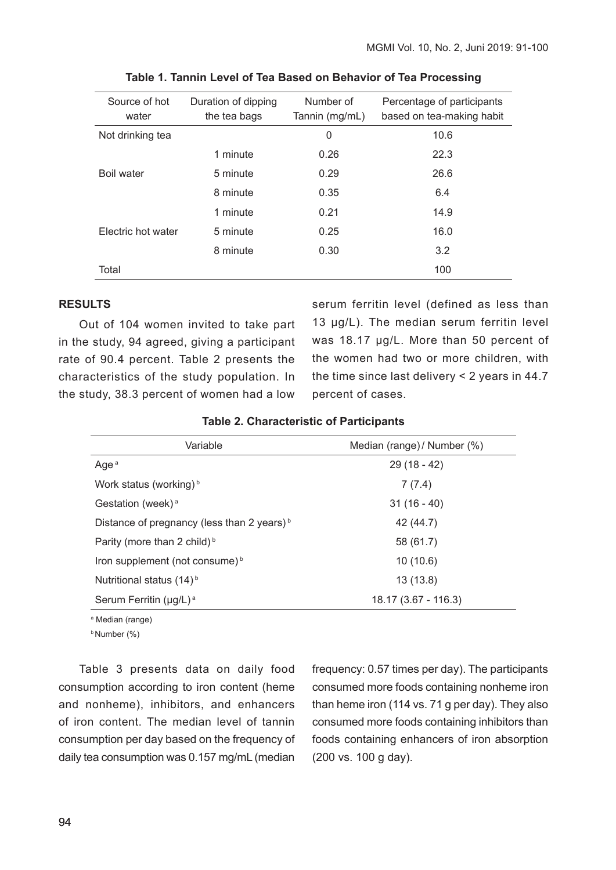| Source of hot<br>water | Duration of dipping<br>the tea bags | Number of<br>Tannin (mg/mL) | Percentage of participants<br>based on tea-making habit |
|------------------------|-------------------------------------|-----------------------------|---------------------------------------------------------|
| Not drinking tea       |                                     | 0                           | 10.6                                                    |
|                        | 1 minute                            | 0.26                        | 22.3                                                    |
| <b>Boil water</b>      | 5 minute                            | 0.29                        | 26.6                                                    |
|                        | 8 minute                            | 0.35                        | 6.4                                                     |
|                        | 1 minute                            | 0.21                        | 14.9                                                    |
| Electric hot water     | 5 minute                            | 0.25                        | 16.0                                                    |
|                        | 8 minute                            | 0.30                        | 3.2                                                     |
| Total                  |                                     |                             | 100                                                     |

|  |  |  | Table 1. Tannin Level of Tea Based on Behavior of Tea Processing |  |  |
|--|--|--|------------------------------------------------------------------|--|--|
|--|--|--|------------------------------------------------------------------|--|--|

# **RESULTS**

Out of 104 women invited to take part in the study, 94 agreed, giving a participant rate of 90.4 percent. Table 2 presents the characteristics of the study population. In the study, 38.3 percent of women had a low serum ferritin level (defined as less than 13 ug/L). The median serum ferritin level was 18.17 µg/L. More than 50 percent of the women had two or more children, with the time since last delivery < 2 years in 44.7 percent of cases.

| Variable                                               | Median (range) / Number (%) |  |
|--------------------------------------------------------|-----------------------------|--|
| Age <sup>a</sup>                                       | $29(18 - 42)$               |  |
| Work status (working) <sup>b</sup>                     | 7(7.4)                      |  |
| Gestation (week) <sup>a</sup>                          | $31(16-40)$                 |  |
| Distance of pregnancy (less than 2 years) <sup>b</sup> | 42 (44.7)                   |  |
| Parity (more than 2 child) <sup>b</sup>                | 58 (61.7)                   |  |
| Iron supplement (not consume) <sup>b</sup>             | 10(10.6)                    |  |
| Nutritional status (14) <sup>b</sup>                   | 13(13.8)                    |  |
| Serum Ferritin (µg/L) <sup>a</sup>                     | $18.17(3.67 - 116.3)$       |  |

a Median (range)

b Number (%)

Table 3 presents data on daily food consumption according to iron content (heme and nonheme), inhibitors, and enhancers of iron content. The median level of tannin consumption per day based on the frequency of daily tea consumption was 0.157 mg/mL (median

frequency: 0.57 times per day). The participants consumed more foods containing nonheme iron than heme iron (114 vs. 71 g per day). They also consumed more foods containing inhibitors than foods containing enhancers of iron absorption (200 vs. 100 g day).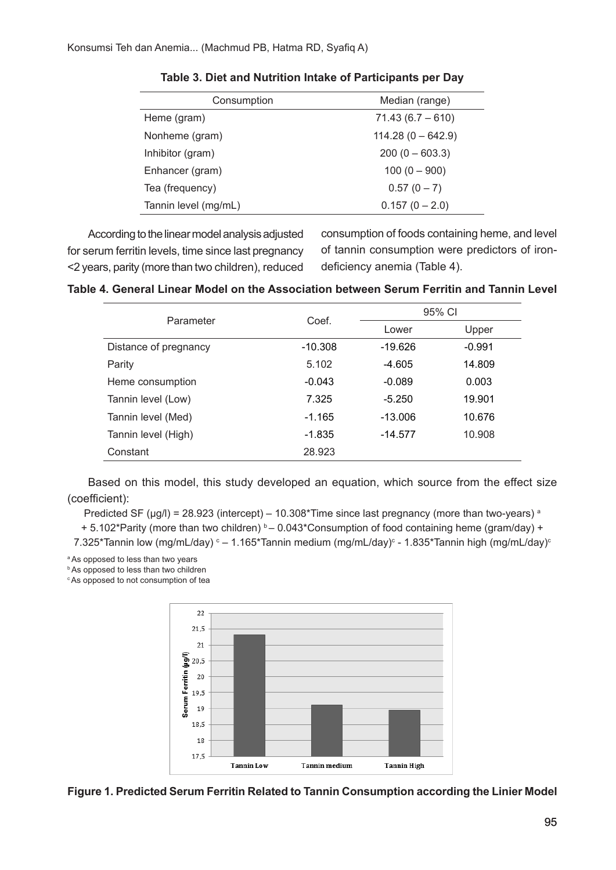| Consumption          | Median (range)      |  |  |
|----------------------|---------------------|--|--|
| Heme (gram)          | $71.43(6.7 - 610)$  |  |  |
| Nonheme (gram)       | $114.28(0 - 642.9)$ |  |  |
| Inhibitor (gram)     | $200 (0 - 603.3)$   |  |  |
| Enhancer (gram)      | $100(0 - 900)$      |  |  |
| Tea (frequency)      | $0.57(0 - 7)$       |  |  |
| Tannin level (mg/mL) | $0.157(0 - 2.0)$    |  |  |

**Table 3. Diet and Nutrition Intake of Participants per Day**

According to the linear model analysis adjusted for serum ferritin levels, time since last pregnancy <2 years, parity (more than two children), reduced consumption of foods containing heme, and level of tannin consumption were predictors of irondeficiency anemia (Table 4).

| Parameter             | Coef.     |           | 95% CI   |  |
|-----------------------|-----------|-----------|----------|--|
|                       |           | Lower     | Upper    |  |
| Distance of pregnancy | $-10.308$ | $-19.626$ | $-0.991$ |  |
| Parity                | 5.102     | $-4.605$  | 14.809   |  |
| Heme consumption      | $-0.043$  | $-0.089$  | 0.003    |  |
| Tannin level (Low)    | 7.325     | $-5.250$  | 19.901   |  |
| Tannin level (Med)    | $-1.165$  | $-13.006$ | 10.676   |  |
| Tannin level (High)   | $-1.835$  | $-14.577$ | 10.908   |  |
| Constant              | 28.923    |           |          |  |

Based on this model, this study developed an equation, which source from the effect size (coefficient):

Predicted SF ( $\mu$ g/l) = 28.923 (intercept) – 10.308\*Time since last pregnancy (more than two-years)<sup>a</sup>

+ 5.102\*Parity (more than two children)  $b - 0.043$ \*Consumption of food containing heme (gram/day) +

7.325\*Tannin low (mg/mL/day) ° – 1.165\*Tannin medium (mg/mL/day)° - 1.835\*Tannin high (mg/mL/day)°

a As opposed to less than two years

**b** As opposed to less than two children

<sup>c</sup> As opposed to not consumption of tea



**Figure 1. Predicted Serum Ferritin Related to Tannin Consumption according the Linier Model**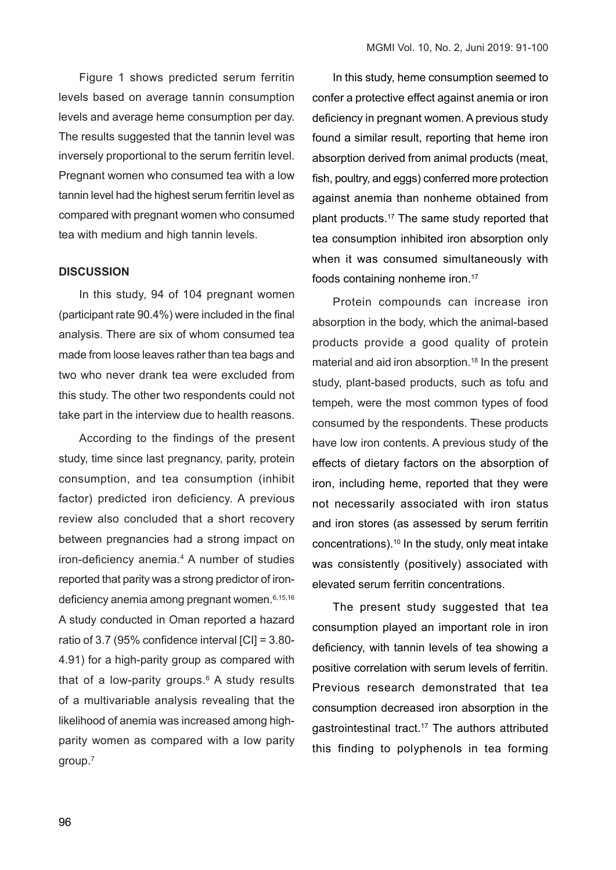Figure 1 shows predicted serum ferritin levels based on average tannin consumption levels and average heme consumption per day. The results suggested that the tannin level was inversely proportional to the serum ferritin level. Pregnant women who consumed tea with a low tannin level had the highest serum ferritin level as compared with pregnant women who consumed tea with medium and high tannin levels.

# **DISCUSSION**

In this study, 94 of 104 pregnant women (participant rate 90.4%) were included in the final analysis. There are six of whom consumed tea made from loose leaves rather than tea bags and two who never drank tea were excluded from this study. The other two respondents could not take part in the interview due to health reasons.

According to the findings of the present study, time since last pregnancy, parity, protein consumption, and tea consumption (inhibit factor) predicted iron deficiency. A previous review also concluded that a short recovery between pregnancies had a strong impact on iron-deficiency anemia.<sup>4</sup> A number of studies reported that parity was a strong predictor of irondeficiency anemia among pregnant women.<sup>6,15,16</sup> A study conducted in Oman reported a hazard ratio of 3.7 (95% confidence interval [CI] = 3.80- 4.91) for a high-parity group as compared with that of a low-parity groups. $6$  A study results of a multivariable analysis revealing that the likelihood of anemia was increased among highparity women as compared with a low parity group.7

In this study, heme consumption seemed to confer a protective effect against anemia or iron deficiency in pregnant women. A previous study found a similar result, reporting that heme iron absorption derived from animal products (meat, fish, poultry, and eggs) conferred more protection against anemia than nonheme obtained from plant products.17 The same study reported that tea consumption inhibited iron absorption only when it was consumed simultaneously with foods containing nonheme iron.<sup>17</sup>

Protein compounds can increase iron absorption in the body, which the animal-based products provide a good quality of protein material and aid iron absorption.<sup>18</sup> In the present study, plant-based products, such as tofu and tempeh, were the most common types of food consumed by the respondents. These products have low iron contents. A previous study of the effects of dietary factors on the absorption of iron, including heme, reported that they were not necessarily associated with iron status and iron stores (as assessed by serum ferritin concentrations).10 In the study, only meat intake was consistently (positively) associated with elevated serum ferritin concentrations.

The present study suggested that tea consumption played an important role in iron deficiency, with tannin levels of tea showing a positive correlation with serum levels of ferritin. Previous research demonstrated that tea consumption decreased iron absorption in the gastrointestinal tract.17 The authors attributed this finding to polyphenols in tea forming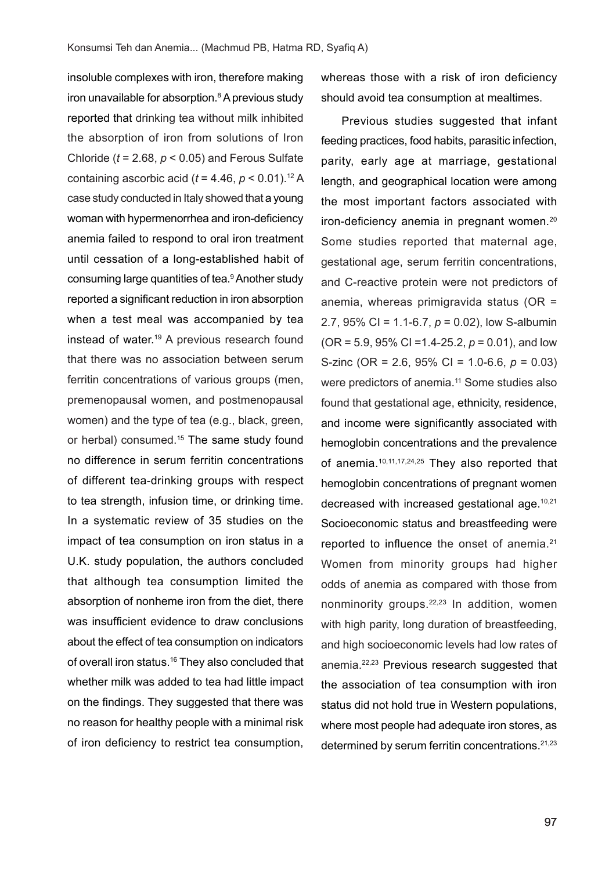insoluble complexes with iron, therefore making iron unavailable for absorption.<sup>8</sup> A previous study reported that drinking tea without milk inhibited the absorption of iron from solutions of Iron Chloride (*t* = 2.68, *p* < 0.05) and Ferous Sulfate containing ascorbic acid  $(t = 4.46, p \le 0.01).$ <sup>12</sup> A case study conducted in Italy showed that a young woman with hypermenorrhea and iron-deficiency anemia failed to respond to oral iron treatment until cessation of a long-established habit of consuming large quantities of tea.<sup>9</sup> Another study reported a significant reduction in iron absorption when a test meal was accompanied by tea instead of water.19 A previous research found that there was no association between serum ferritin concentrations of various groups (men. premenopausal women, and postmenopausal women) and the type of tea (e.g., black, green, or herbal) consumed.<sup>15</sup> The same study found no difference in serum ferritin concentrations of different tea-drinking groups with respect to tea strength, infusion time, or drinking time. In a systematic review of 35 studies on the impact of tea consumption on iron status in a U.K. study population, the authors concluded that although tea consumption limited the absorption of nonheme iron from the diet, there was insufficient evidence to draw conclusions about the effect of tea consumption on indicators of overall iron status.<sup>16</sup> They also concluded that whether milk was added to tea had little impact on the findings. They suggested that there was no reason for healthy people with a minimal risk of iron deficiency to restrict tea consumption,

whereas those with a risk of iron deficiency should avoid tea consumption at mealtimes.

Previous studies suggested that infant feeding practices, food habits, parasitic infection, parity, early age at marriage, gestational length, and geographical location were among the most important factors associated with iron-deficiency anemia in pregnant women.<sup>20</sup> Some studies reported that maternal age, gestational age, serum ferritin concentrations, and C-reactive protein were not predictors of anemia, whereas primigravida status (OR = 2.7, 95% CI = 1.1-6.7, *p* = 0.02), low S-albumin (OR = 5.9, 95% CI =1.4-25.2, *p* = 0.01), and low S-zinc (OR = 2.6, 95% CI = 1.0-6.6, *p* = 0.03) were predictors of anemia.11 Some studies also found that gestational age, ethnicity, residence, and income were significantly associated with hemoglobin concentrations and the prevalence of anemia.10,11,17,24,25 They also reported that hemoglobin concentrations of pregnant women decreased with increased gestational age.10,21 Socioeconomic status and breastfeeding were reported to influence the onset of anemia.<sup>21</sup> Women from minority groups had higher odds of anemia as compared with those from nonminority groups.22,23 In addition, women with high parity, long duration of breastfeeding, and high socioeconomic levels had low rates of anemia.<sup>22,23</sup> Previous research suggested that the association of tea consumption with iron status did not hold true in Western populations, where most people had adequate iron stores, as determined by serum ferritin concentrations.<sup>21,23</sup>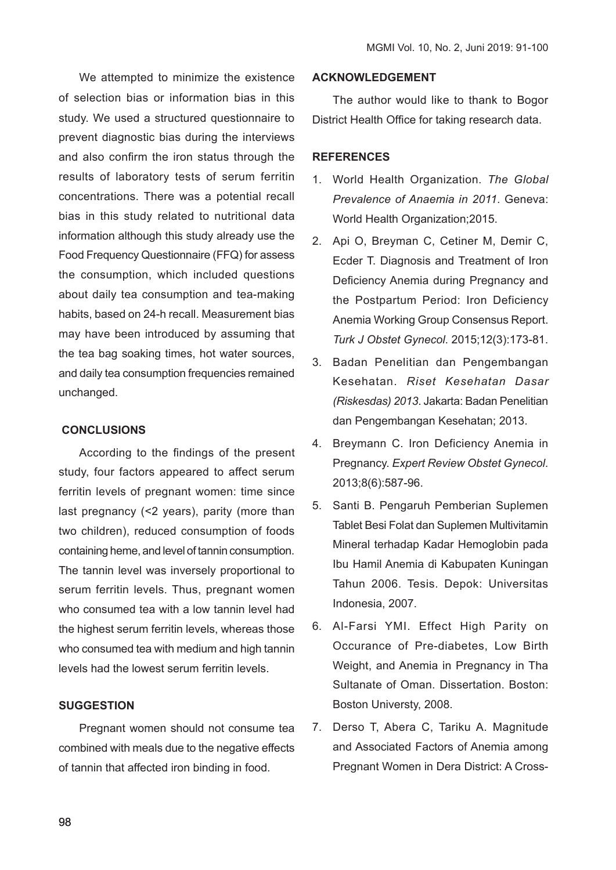We attempted to minimize the existence of selection bias or information bias in this study. We used a structured questionnaire to prevent diagnostic bias during the interviews and also confirm the iron status through the results of laboratory tests of serum ferritin concentrations. There was a potential recall bias in this study related to nutritional data information although this study already use the Food Frequency Questionnaire (FFQ) for assess the consumption, which included questions about daily tea consumption and tea-making habits, based on 24-h recall. Measurement bias may have been introduced by assuming that the tea bag soaking times, hot water sources, and daily tea consumption frequencies remained unchanged.

### **CONCLUSIONS**

According to the findings of the present study, four factors appeared to affect serum ferritin levels of pregnant women: time since last pregnancy (<2 years), parity (more than two children), reduced consumption of foods containing heme, and level of tannin consumption. The tannin level was inversely proportional to serum ferritin levels. Thus, pregnant women who consumed tea with a low tannin level had the highest serum ferritin levels, whereas those who consumed tea with medium and high tannin levels had the lowest serum ferritin levels.

# **SUGGESTION**

Pregnant women should not consume tea combined with meals due to the negative effects of tannin that affected iron binding in food.

# **ACKNOWLEDGEMENT**

The author would like to thank to Bogor District Health Office for taking research data.

### **REFERENCES**

- 1. World Health Organization. *The Global Prevalence of Anaemia in 2011*. Geneva: World Health Organization;2015.
- 2. Api O, Breyman C, Cetiner M, Demir C, Ecder T. Diagnosis and Treatment of Iron Deficiency Anemia during Pregnancy and the Postpartum Period: Iron Deficiency Anemia Working Group Consensus Report. *Turk J Obstet Gynecol*. 2015;12(3):173-81.
- 3. Badan Penelitian dan Pengembangan Kesehatan. *Riset Kesehatan Dasar (Riskesdas) 2013*. Jakarta: Badan Penelitian dan Pengembangan Kesehatan; 2013.
- 4. Breymann C. Iron Deficiency Anemia in Pregnancy. *Expert Review Obstet Gynecol*. 2013;8(6):587-96.
- 5. Santi B. Pengaruh Pemberian Suplemen Tablet Besi Folat dan Suplemen Multivitamin Mineral terhadap Kadar Hemoglobin pada Ibu Hamil Anemia di Kabupaten Kuningan Tahun 2006. Tesis. Depok: Universitas Indonesia, 2007.
- 6. Al-Farsi YMI. Effect High Parity on Occurance of Pre-diabetes, Low Birth Weight, and Anemia in Pregnancy in Tha Sultanate of Oman. Dissertation. Boston: Boston Universty, 2008.
- 7. Derso T, Abera C, Tariku A. Magnitude and Associated Factors of Anemia among Pregnant Women in Dera District: A Cross-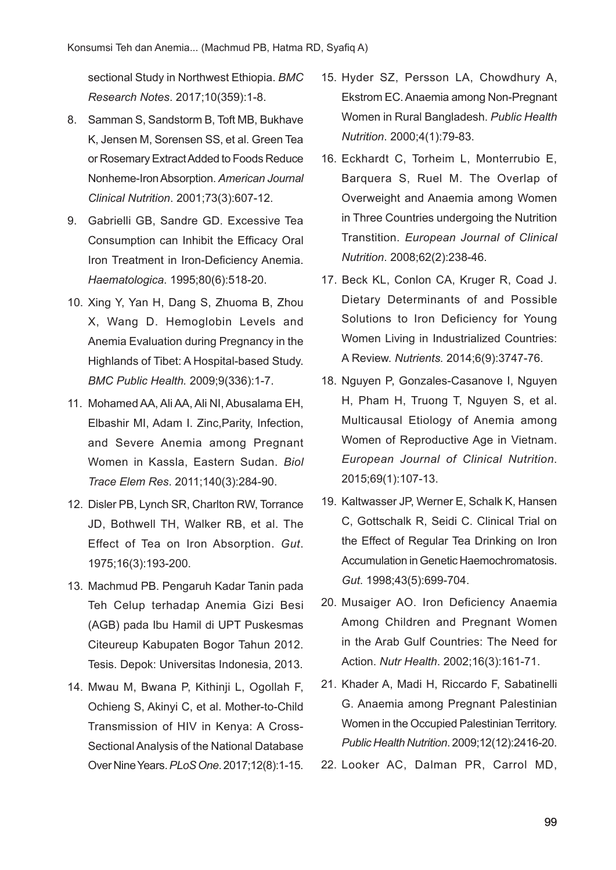sectional Study in Northwest Ethiopia. *BMC Research Notes*. 2017;10(359):1-8.

- 8. Samman S, Sandstorm B, Toft MB, Bukhave K, Jensen M, Sorensen SS, et al. Green Tea or Rosemary Extract Added to Foods Reduce Nonheme-Iron Absorption. *American Journal Clinical Nutrition*. 2001;73(3):607-12.
- 9. Gabrielli GB, Sandre GD. Excessive Tea Consumption can Inhibit the Efficacy Oral Iron Treatment in Iron-Deficiency Anemia. *Haematologica*. 1995;80(6):518-20.
- 10. Xing Y, Yan H, Dang S, Zhuoma B, Zhou X, Wang D. Hemoglobin Levels and Anemia Evaluation during Pregnancy in the Highlands of Tibet: A Hospital-based Study. *BMC Public Health.* 2009;9(336):1-7.
- 11. Mohamed AA, Ali AA, Ali NI, Abusalama EH, Elbashir MI, Adam I. Zinc,Parity, Infection, and Severe Anemia among Pregnant Women in Kassla, Eastern Sudan. *Biol Trace Elem Res*. 2011;140(3):284-90.
- 12. Disler PB, Lynch SR, Charlton RW, Torrance JD, Bothwell TH, Walker RB, et al. The Effect of Tea on Iron Absorption. *Gut*. 1975;16(3):193-200.
- 13. Machmud PB. Pengaruh Kadar Tanin pada Teh Celup terhadap Anemia Gizi Besi (AGB) pada Ibu Hamil di UPT Puskesmas Citeureup Kabupaten Bogor Tahun 2012. Tesis. Depok: Universitas Indonesia, 2013.
- 14. Mwau M, Bwana P, Kithinji L, Ogollah F, Ochieng S, Akinyi C, et al. Mother-to-Child Transmission of HIV in Kenya: A Cross-Sectional Analysis of the National Database Over Nine Years. *PLoS One*. 2017;12(8):1-15.
- 15. Hyder SZ, Persson LA, Chowdhury A, Ekstrom EC. Anaemia among Non-Pregnant Women in Rural Bangladesh. *Public Health Nutrition*. 2000;4(1):79-83.
- 16. Eckhardt C, Torheim L, Monterrubio E, Barquera S, Ruel M. The Overlap of Overweight and Anaemia among Women in Three Countries undergoing the Nutrition Transtition. *European Journal of Clinical Nutrition*. 2008;62(2):238-46.
- 17. Beck KL, Conlon CA, Kruger R, Coad J. Dietary Determinants of and Possible Solutions to Iron Deficiency for Young Women Living in Industrialized Countries: A Review. *Nutrients.* 2014;6(9):3747-76.
- 18. Nguyen P, Gonzales-Casanove I, Nguyen H, Pham H, Truong T, Nguyen S, et al. Multicausal Etiology of Anemia among Women of Reproductive Age in Vietnam. *European Journal of Clinical Nutrition*. 2015;69(1):107-13.
- 19. Kaltwasser JP, Werner E, Schalk K, Hansen C, Gottschalk R, Seidi C. Clinical Trial on the Effect of Regular Tea Drinking on Iron Accumulation in Genetic Haemochromatosis. *Gut*. 1998;43(5):699-704.
- 20. Musaiger AO. Iron Deficiency Anaemia Among Children and Pregnant Women in the Arab Gulf Countries: The Need for Action. *Nutr Health*. 2002;16(3):161-71.
- 21. Khader A, Madi H, Riccardo F, Sabatinelli G. Anaemia among Pregnant Palestinian Women in the Occupied Palestinian Territory. *Public Health Nutrition*. 2009;12(12):2416-20.
- 22. Looker AC, Dalman PR, Carrol MD,